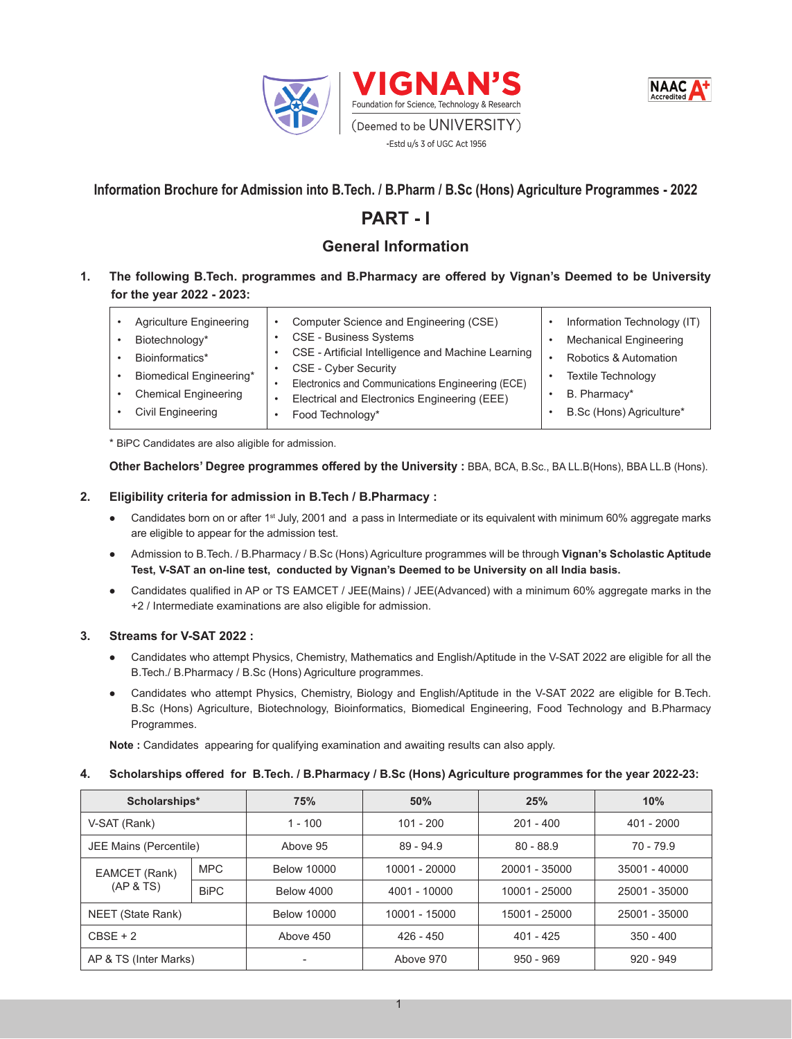



## **Information Brochure for Admission into B.Tech. / B.Pharm / B.Sc (Hons) Agriculture Programmes - 2022**

# **PART - I**

## **General Information**

## **1. The following B.Tech. programmes and B.Pharmacy are offered by Vignan's Deemed to be University for the year 2022 - 2023:**

 \* BiPC Candidates are also aligible for admission.

**Other Bachelors' Degree programmes offered by the University :** BBA, BCA, B.Sc., BA LL.B(Hons), BBA LL.B (Hons).

#### **2. Eligibility criteria for admission in B.Tech / B.Pharmacy :**

- Candidates born on or after 1<sup>st</sup> July, 2001 and a pass in Intermediate or its equivalent with minimum 60% aggregate marks are eligible to appear for the admission test.
- Admission to B.Tech. / B.Pharmacy / B.Sc (Hons) Agriculture programmes will be through **Vignan's Scholastic Aptitude Test, V-SAT an on-line test, conducted by Vignan's Deemed to be University on all India basis.**
- Candidates qualified in AP or TS EAMCET / JEE(Mains) / JEE(Advanced) with a minimum 60% aggregate marks in the +2 / Intermediate examinations are also eligible for admission.

## **3. Streams for V-SAT 2022 :**

- Candidates who attempt Physics, Chemistry, Mathematics and English/Aptitude in the V-SAT 2022 are eligible for all the B.Tech./ B.Pharmacy / B.Sc (Hons) Agriculture programmes.
- Candidates who attempt Physics, Chemistry, Biology and English/Aptitude in the V-SAT 2022 are eligible for B.Tech. B.Sc (Hons) Agriculture, Biotechnology, Bioinformatics, Biomedical Engineering, Food Technology and B.Pharmacy Programmes.

**Note :** Candidates appearing for qualifying examination and awaiting results can also apply.

#### **4. Scholarships offered for B.Tech. / B.Pharmacy / B.Sc (Hons) Agriculture programmes for the year 2022-23:**

| Scholarships*              |             | 75%                | 50%                        | 25%           | 10%           |  |
|----------------------------|-------------|--------------------|----------------------------|---------------|---------------|--|
| V-SAT (Rank)               |             | $1 - 100$          | $101 - 200$                | $201 - 400$   | $401 - 2000$  |  |
| JEE Mains (Percentile)     |             | Above 95           | $89 - 94.9$<br>$80 - 88.9$ |               | $70 - 79.9$   |  |
| EAMCET (Rank)<br>(AP & TS) | <b>MPC</b>  | <b>Below 10000</b> | 10001 - 20000              | 20001 - 35000 | 35001 - 40000 |  |
|                            | <b>BiPC</b> | <b>Below 4000</b>  | 4001 - 10000               | 10001 - 25000 | 25001 - 35000 |  |
| NEET (State Rank)          |             | <b>Below 10000</b> | 10001 - 15000              | 15001 - 25000 | 25001 - 35000 |  |
| $CBSE + 2$                 |             | Above 450          | $426 - 450$                | $401 - 425$   | $350 - 400$   |  |
| AP & TS (Inter Marks)      |             |                    | Above 970                  | $950 - 969$   | $920 - 949$   |  |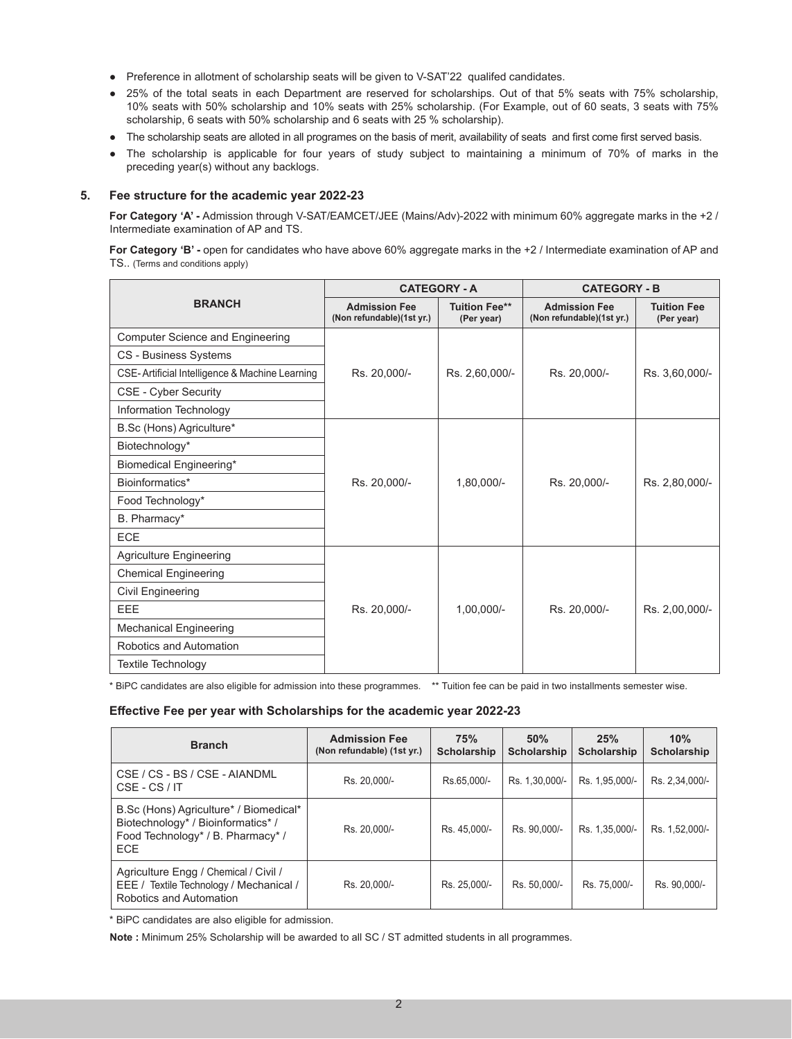- Preference in allotment of scholarship seats will be given to V-SAT'22 qualifed candidates.
- 25% of the total seats in each Department are reserved for scholarships. Out of that 5% seats with 75% scholarship, 10% seats with 50% scholarship and 10% seats with 25% scholarship. (For Example, out of 60 seats, 3 seats with 75% scholarship, 6 seats with 50% scholarship and 6 seats with 25 % scholarship).
- The scholarship seats are alloted in all programes on the basis of merit, availability of seats and first come first served basis.
- The scholarship is applicable for four years of study subject to maintaining a minimum of 70% of marks in the preceding year(s) without any backlogs.

#### **5. Fee structure for the academic year 2022-23**

**For Category 'A' -** Admission through V-SAT/EAMCET/JEE (Mains/Adv)-2022 with minimum 60% aggregate marks in the +2 / Intermediate examination of AP and TS.

**For Category 'B' -** open for candidates who have above 60% aggregate marks in the +2 / Intermediate examination of AP and TS.. (Terms and conditions apply)

|                                                |                                                   | <b>CATEGORY - A</b>                | <b>CATEGORY - B</b>                               |                                  |  |  |
|------------------------------------------------|---------------------------------------------------|------------------------------------|---------------------------------------------------|----------------------------------|--|--|
| <b>BRANCH</b>                                  | <b>Admission Fee</b><br>(Non refundable)(1st yr.) | <b>Tuition Fee**</b><br>(Per year) | <b>Admission Fee</b><br>(Non refundable)(1st yr.) | <b>Tuition Fee</b><br>(Per year) |  |  |
| <b>Computer Science and Engineering</b>        |                                                   |                                    |                                                   |                                  |  |  |
| <b>CS - Business Systems</b>                   |                                                   |                                    |                                                   |                                  |  |  |
| CSE-Artificial Intelligence & Machine Learning | Rs. 20,000/-                                      | Rs. 2,60,000/-                     | Rs. 20,000/-                                      | Rs. 3.60,000/-                   |  |  |
| <b>CSE - Cyber Security</b>                    |                                                   |                                    |                                                   |                                  |  |  |
| Information Technology                         |                                                   |                                    |                                                   |                                  |  |  |
| B.Sc (Hons) Agriculture*                       |                                                   |                                    |                                                   |                                  |  |  |
| Biotechnology*                                 |                                                   |                                    |                                                   |                                  |  |  |
| <b>Biomedical Engineering*</b>                 |                                                   |                                    |                                                   |                                  |  |  |
| Bioinformatics*                                | Rs. 20,000/-                                      | $1,80,000/-$                       | Rs. 20,000/-                                      | Rs. 2,80,000/-                   |  |  |
| Food Technology*                               |                                                   |                                    |                                                   |                                  |  |  |
| B. Pharmacy*                                   |                                                   |                                    |                                                   |                                  |  |  |
| ECE                                            |                                                   |                                    |                                                   |                                  |  |  |
| <b>Agriculture Engineering</b>                 |                                                   |                                    |                                                   |                                  |  |  |
| <b>Chemical Engineering</b>                    |                                                   |                                    |                                                   |                                  |  |  |
| Civil Engineering                              |                                                   |                                    |                                                   |                                  |  |  |
| EEE                                            | Rs. 20,000/-                                      | $1,00,000/-$                       | Rs. 20,000/-                                      | Rs. 2,00,000/-                   |  |  |
| <b>Mechanical Engineering</b>                  |                                                   |                                    |                                                   |                                  |  |  |
| Robotics and Automation                        |                                                   |                                    |                                                   |                                  |  |  |
| <b>Textile Technology</b>                      |                                                   |                                    |                                                   |                                  |  |  |

\* BiPC candidates are also eligible for admission into these programmes. \*\* Tuition fee can be paid in two installments semester wise.

#### **Effective Fee per year with Scholarships for the academic year 2022-23**

| <b>Branch</b>                                                                                                                   | <b>Admission Fee</b><br>(Non refundable) (1st yr.) | 75%<br><b>Scholarship</b> | 50%<br><b>Scholarship</b> | 25%<br><b>Scholarship</b> | 10%<br><b>Scholarship</b> |
|---------------------------------------------------------------------------------------------------------------------------------|----------------------------------------------------|---------------------------|---------------------------|---------------------------|---------------------------|
| CSE / CS - BS / CSE - AIANDML<br>CSE - CS / IT                                                                                  | Rs. 20.000/-                                       | Rs.65.000/-               | Rs. 1,30,000/-            | Rs. 1,95,000/-            | Rs. 2.34.000/-            |
| B.Sc (Hons) Agriculture* / Biomedical*<br>Biotechnology* / Bioinformatics* /<br>Food Technology* / B. Pharmacy* /<br><b>ECE</b> | Rs. 20.000/-                                       | Rs. 45.000/-              | Rs. 90.000/-              | Rs. 1,35,000/-            | Rs. 1,52,000/-            |
| Agriculture Engg / Chemical / Civil /<br>EEE / Textile Technology / Mechanical /<br>Robotics and Automation                     | Rs. 20.000/-                                       | Rs. 25.000/-              | Rs. 50.000/-              | Rs. 75.000/-              | Rs. 90.000/-              |

\* BiPC candidates are also eligible for admission.

**Note :** Minimum 25% Scholarship will be awarded to all SC / ST admitted students in all programmes.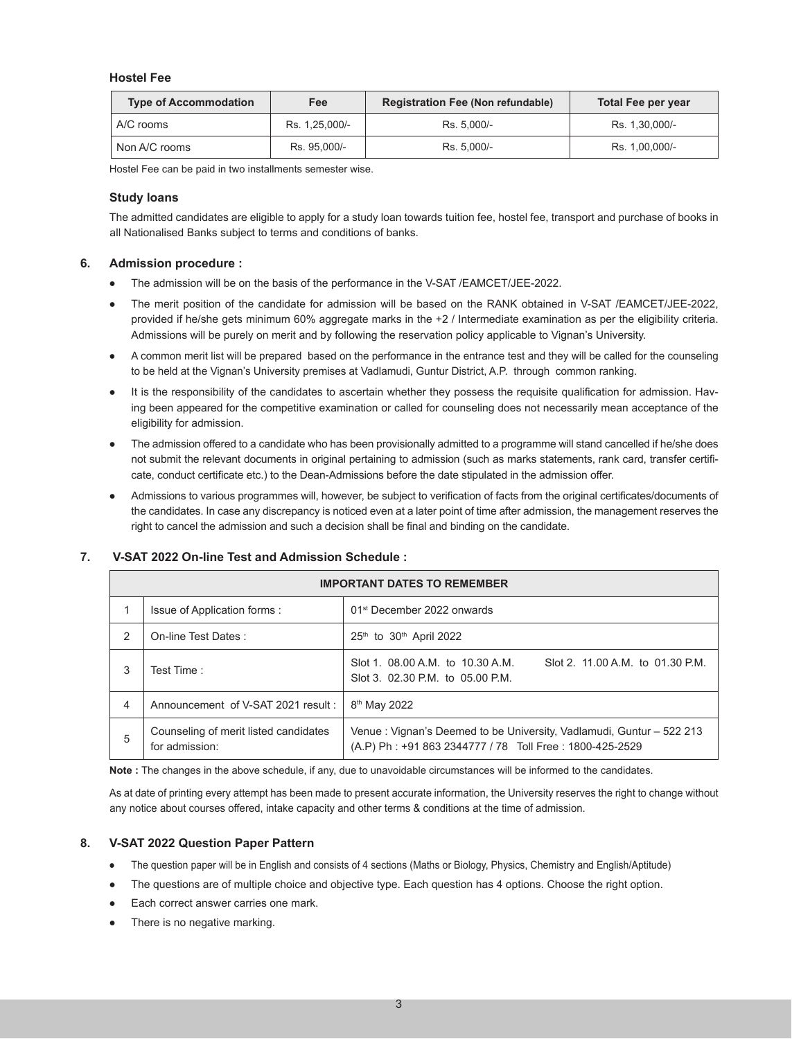#### **Hostel Fee**

| <b>Type of Accommodation</b> | Fee            | <b>Registration Fee (Non refundable)</b> | Total Fee per year |  |  |
|------------------------------|----------------|------------------------------------------|--------------------|--|--|
| A/C rooms                    | Rs. 1.25.000/- | Rs. 5.000/-                              | Rs. 1.30.000/-     |  |  |
| Non A/C rooms                | Rs. 95.000/-   | Rs. 5.000/-                              | Rs. 1,00,000/-     |  |  |

Hostel Fee can be paid in two installments semester wise.

#### **Study loans**

 The admitted candidates are eligible to apply for a study loan towards tuition fee, hostel fee, transport and purchase of books in all Nationalised Banks subject to terms and conditions of banks.

#### **6. Admission procedure :**

- The admission will be on the basis of the performance in the V-SAT /EAMCET/JEE-2022.
- The merit position of the candidate for admission will be based on the RANK obtained in V-SAT /EAMCET/JEE-2022, provided if he/she gets minimum 60% aggregate marks in the +2 / Intermediate examination as per the eligibility criteria. Admissions will be purely on merit and by following the reservation policy applicable to Vignan's University.
- A common merit list will be prepared based on the performance in the entrance test and they will be called for the counseling to be held at the Vignan's University premises at Vadlamudi, Guntur District, A.P. through common ranking.
- It is the responsibility of the candidates to ascertain whether they possess the requisite qualification for admission. Having been appeared for the competitive examination or called for counseling does not necessarily mean acceptance of the eligibility for admission.
- The admission offered to a candidate who has been provisionally admitted to a programme will stand cancelled if he/she does not submit the relevant documents in original pertaining to admission (such as marks statements, rank card, transfer certificate, conduct certificate etc.) to the Dean-Admissions before the date stipulated in the admission offer.
- Admissions to various programmes will, however, be subject to verification of facts from the original certificates/documents of the candidates. In case any discrepancy is noticed even at a later point of time after admission, the management reserves the right to cancel the admission and such a decision shall be final and binding on the candidate.

|   | <b>IMPORTANT DATES TO REMEMBER</b>                      |                                                                                                                                 |  |  |  |  |  |  |  |
|---|---------------------------------------------------------|---------------------------------------------------------------------------------------------------------------------------------|--|--|--|--|--|--|--|
|   | Issue of Application forms :                            | 01 <sup>st</sup> December 2022 onwards                                                                                          |  |  |  |  |  |  |  |
| 2 | On-line Test Dates:                                     | $25th$ to $30th$ April 2022                                                                                                     |  |  |  |  |  |  |  |
| 3 | Test Time:                                              | Slot 1, 08.00 A.M. to 10.30 A.M.<br>Slot 2, 11.00 A.M. to 01.30 P.M.<br>Slot 3. 02.30 P.M. to 05.00 P.M.                        |  |  |  |  |  |  |  |
| 4 | Announcement of V-SAT 2021 result:                      | 8 <sup>th</sup> May 2022                                                                                                        |  |  |  |  |  |  |  |
| 5 | Counseling of merit listed candidates<br>for admission: | Venue: Vignan's Deemed to be University, Vadlamudi, Guntur – 522 213<br>(A.P) Ph: +91 863 2344777 / 78 Toll Free: 1800-425-2529 |  |  |  |  |  |  |  |

#### **7. V-SAT 2022 On-line Test and Admission Schedule :**

**Note :** The changes in the above schedule, if any, due to unavoidable circumstances will be informed to the candidates.

As at date of printing every attempt has been made to present accurate information, the University reserves the right to change without any notice about courses offered, intake capacity and other terms & conditions at the time of admission.

#### **8. V-SAT 2022 Question Paper Pattern**

- The question paper will be in English and consists of 4 sections (Maths or Biology, Physics, Chemistry and English/Aptitude)
- The questions are of multiple choice and objective type. Each question has 4 options. Choose the right option.
- Each correct answer carries one mark.
- There is no negative marking.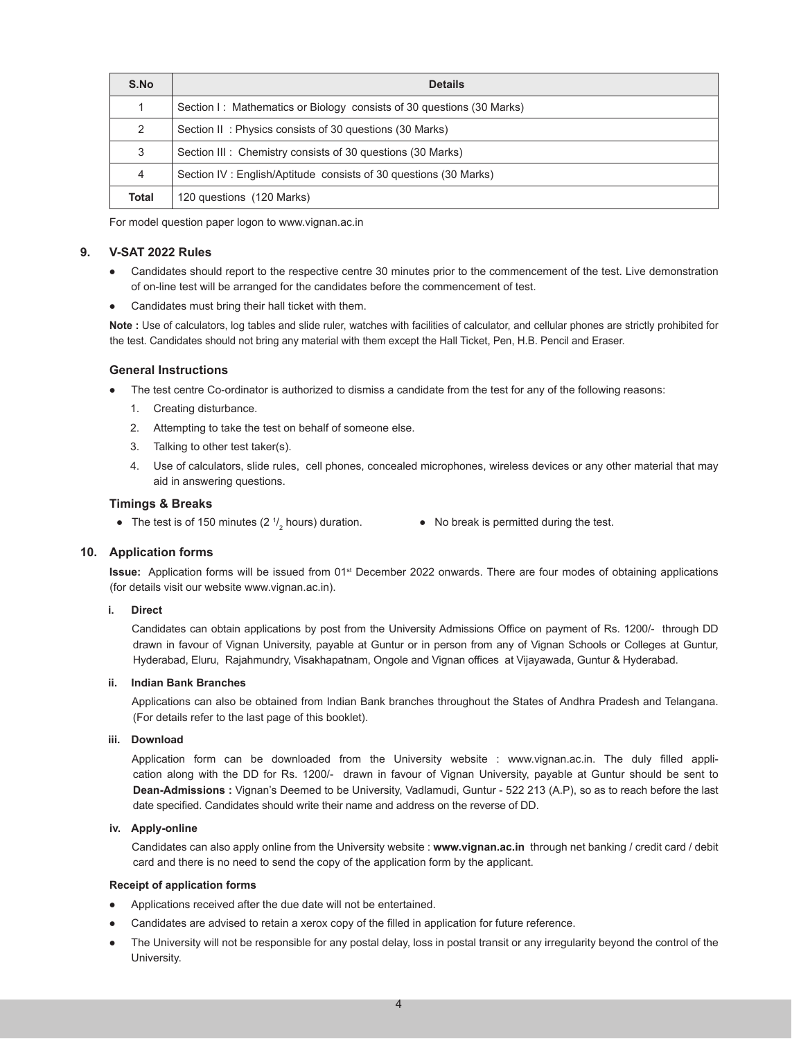| S.No  | <b>Details</b>                                                        |
|-------|-----------------------------------------------------------------------|
|       | Section I: Mathematics or Biology consists of 30 questions (30 Marks) |
| 2     | Section II: Physics consists of 30 questions (30 Marks)               |
| 3     | Section III: Chemistry consists of 30 questions (30 Marks)            |
| 4     | Section IV: English/Aptitude consists of 30 questions (30 Marks)      |
| Total | 120 questions (120 Marks)                                             |

 For model question paper logon to www.vignan.ac.in

#### **9. V-SAT 2022 Rules**

- Candidates should report to the respective centre 30 minutes prior to the commencement of the test. Live demonstration of on-line test will be arranged for the candidates before the commencement of test.
- Candidates must bring their hall ticket with them.

**Note :** Use of calculators, log tables and slide ruler, watches with facilities of calculator, and cellular phones are strictly prohibited for the test. Candidates should not bring any material with them except the Hall Ticket, Pen, H.B. Pencil and Eraser.

#### **General Instructions**

- The test centre Co-ordinator is authorized to dismiss a candidate from the test for any of the following reasons:
	- 1. Creating disturbance.
	- 2. Attempting to take the test on behalf of someone else.
	- 3. Talking to other test taker(s).
	- 4. Use of calculators, slide rules, cell phones, concealed microphones, wireless devices or any other material that may aid in answering questions.

#### **Timings & Breaks**

- The test is of 150 minutes  $(2<sup>1</sup>/)$
- $\bullet$  No break is permitted during the test.

#### **10. Application forms**

**Issue:** Application forms will be issued from 01<sup>st</sup> December 2022 onwards. There are four modes of obtaining applications (for details visit our website www.vignan.ac.in).

#### **i. Direct**

 Candidates can obtain applications by post from the University Admissions Office on payment of Rs. 1200/- through DD drawn in favour of Vignan University, payable at Guntur or in person from any of Vignan Schools or Colleges at Guntur, Hyderabad, Eluru, Rajahmundry, Visakhapatnam, Ongole and Vignan offices at Vijayawada, Guntur & Hyderabad.

#### **ii. Indian Bank Branches**

 Applications can also be obtained from Indian Bank branches throughout the States of Andhra Pradesh and Telangana. (For details refer to the last page of this booklet).

#### **iii. Download**

 Application form can be downloaded from the University website : www.vignan.ac.in. The duly filled application along with the DD for Rs. 1200/- drawn in favour of Vignan University, payable at Guntur should be sent to **Dean-Admissions :** Vignan's Deemed to be University, Vadlamudi, Guntur - 522 213 (A.P), so as to reach before the last date specified. Candidates should write their name and address on the reverse of DD. 

#### **iv. Apply-online**

 Candidates can also apply online from the University website : **www.vignan.ac.in** through net banking / credit card / debit card and there is no need to send the copy of the application form by the applicant.

#### **Receipt of application forms**

- Applications received after the due date will not be entertained.
- Candidates are advised to retain a xerox copy of the filled in application for future reference.
- The University will not be responsible for any postal delay, loss in postal transit or any irregularity beyond the control of the University.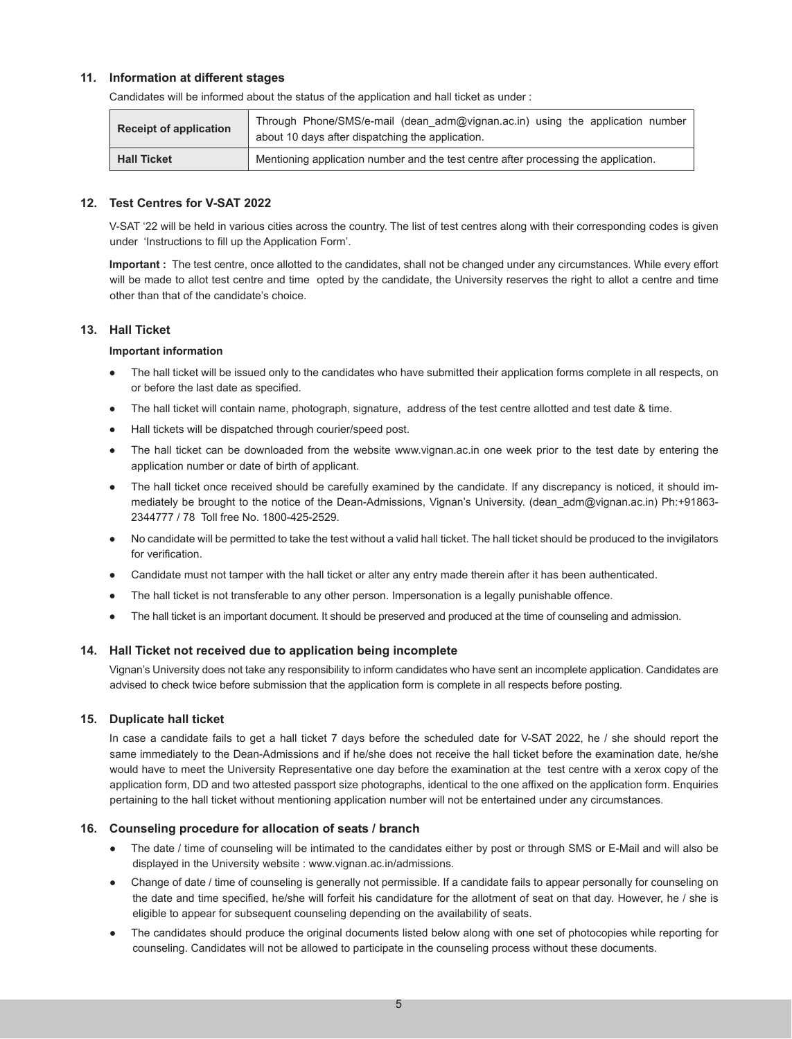#### **11. Information at different stages**

| <b>Receipt of application</b> | Through Phone/SMS/e-mail (dean adm@vignan.ac.in) using the application number<br>about 10 days after dispatching the application. |
|-------------------------------|-----------------------------------------------------------------------------------------------------------------------------------|
| <b>Hall Ticket</b>            | Mentioning application number and the test centre after processing the application.                                               |

 Candidates will be informed about the status of the application and hall ticket as under :

## **12. Test Centres for V-SAT 2022**

 V-SAT '22 will be held in various cities across the country. The list of test centres along with their corresponding codes is given under 'Instructions to fill up the Application Form'.

**Important :** The test centre, once allotted to the candidates, shall not be changed under any circumstances. While every effort will be made to allot test centre and time opted by the candidate, the University reserves the right to allot a centre and time other than that of the candidate's choice.

#### **13. Hall Ticket**

#### **Important information**

- The hall ticket will be issued only to the candidates who have submitted their application forms complete in all respects, on or before the last date as specified.
- The hall ticket will contain name, photograph, signature, address of the test centre allotted and test date & time.
- Hall tickets will be dispatched through courier/speed post.
- The hall ticket can be downloaded from the website www.vignan.ac.in one week prior to the test date by entering the application number or date of birth of applicant.
- The hall ticket once received should be carefully examined by the candidate. If any discrepancy is noticed, it should immediately be brought to the notice of the Dean-Admissions, Vignan's University. (dean adm@vignan.ac.in) Ph:+91863-2344777 / 78 Toll free No. 1800-425-2529.
- No candidate will be permitted to take the test without a valid hall ticket. The hall ticket should be produced to the invigilators for verification.
- Candidate must not tamper with the hall ticket or alter any entry made therein after it has been authenticated.
- The hall ticket is not transferable to any other person. Impersonation is a legally punishable offence.
- The hall ticket is an important document. It should be preserved and produced at the time of counseling and admission.

#### **14. Hall Ticket not received due to application being incomplete**

 Vignan's University does not take any responsibility to inform candidates who have sent an incomplete application. Candidates are advised to check twice before submission that the application form is complete in all respects before posting.

#### **15. Duplicate hall ticket**

In case a candidate fails to get a hall ticket 7 days before the scheduled date for V-SAT 2022, he / she should report the same immediately to the Dean-Admissions and if he/she does not receive the hall ticket before the examination date, he/she would have to meet the University Representative one day before the examination at the test centre with a xerox copy of the application form, DD and two attested passport size photographs, identical to the one affixed on the application form. Enquiries pertaining to the hall ticket without mentioning application number will not be entertained under any circumstances.

#### **16. Counseling procedure for allocation of seats / branch**

- The date / time of counseling will be intimated to the candidates either by post or through SMS or E-Mail and will also be displayed in the University website : www.vignan.ac.in/admissions.
- Change of date / time of counseling is generally not permissible. If a candidate fails to appear personally for counseling on the date and time specified, he/she will forfeit his candidature for the allotment of seat on that day. However, he / she is eligible to appear for subsequent counseling depending on the availability of seats.
- The candidates should produce the original documents listed below along with one set of photocopies while reporting for counseling. Candidates will not be allowed to participate in the counseling process without these documents.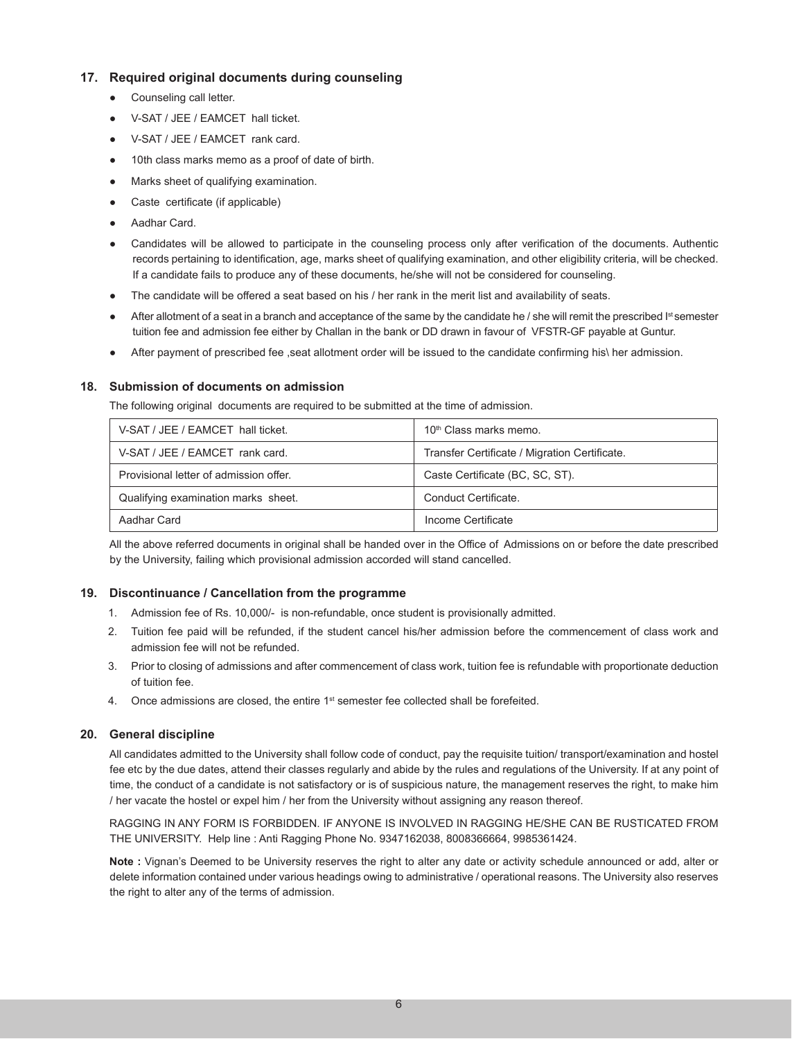## **17. Required original documents during counseling**

- Counseling call letter.
- V-SAT / JEE / EAMCET hall ticket.
- V-SAT / JEE / EAMCET rank card.
- 10th class marks memo as a proof of date of birth.
- Marks sheet of qualifying examination.
- Caste certificate (if applicable)
- Aadhar Card.
- Candidates will be allowed to participate in the counseling process only after verification of the documents. Authentic records pertaining to identification, age, marks sheet of qualifying examination, and other eligibility criteria, will be checked. If a candidate fails to produce any of these documents, he/she will not be considered for counseling.
- The candidate will be offered a seat based on his / her rank in the merit list and availability of seats.
- $\bullet$  After allotment of a seat in a branch and acceptance of the same by the candidate he / she will remit the prescribed  $I^{st}$ semester tuition fee and admission fee either by Challan in the bank or DD drawn in favour of VFSTR-GF payable at Guntur.
- After payment of prescribed fee ,seat allotment order will be issued to the candidate confirming his\ her admission.

## **18. Submission of documents on admission**

 The following original documents are required to be submitted at the time of admission.

| V-SAT / JEE / EAMCET hall ticket.      | 10 <sup>th</sup> Class marks memo.            |
|----------------------------------------|-----------------------------------------------|
| V-SAT / JEE / EAMCET rank card.        | Transfer Certificate / Migration Certificate. |
| Provisional letter of admission offer. | Caste Certificate (BC, SC, ST).               |
| Qualifying examination marks sheet.    | Conduct Certificate.                          |
| Aadhar Card                            | Income Certificate                            |

All the above referred documents in original shall be handed over in the Office of Admissions on or before the date prescribed by the University, failing which provisional admission accorded will stand cancelled.

## **19. Discontinuance / Cancellation from the programme**

- 1. Admission fee of Rs. 10,000/- is non-refundable, once student is provisionally admitted.
- 2. Tuition fee paid will be refunded, if the student cancel his/her admission before the commencement of class work and admission fee will not be refunded.
- 3. Prior to closing of admissions and after commencement of class work, tuition fee is refundable with proportionate deduction of tuition fee.
- 4. Once admissions are closed, the entire 1<sup>st</sup> semester fee collected shall be forefeited.

#### **20. General discipline**

 All candidates admitted to the University shall follow code of conduct, pay the requisite tuition/ transport/examination and hostel fee etc by the due dates, attend their classes regularly and abide by the rules and regulations of the University. If at any point of time, the conduct of a candidate is not satisfactory or is of suspicious nature, the management reserves the right, to make him / her vacate the hostel or expel him / her from the University without assigning any reason thereof.

 RAGGING IN ANY FORM IS FORBIDDEN. IF ANYONE IS INVOLVED IN RAGGING HE/SHE CAN BE RUSTICATED FROM THE UNIVERSITY. Help line : Anti Ragging Phone No. 9347162038, 8008366664, 9985361424.

**Note :** Vignan's Deemed to be University reserves the right to alter any date or activity schedule announced or add, alter or delete information contained under various headings owing to administrative / operational reasons. The University also reserves the right to alter any of the terms of admission.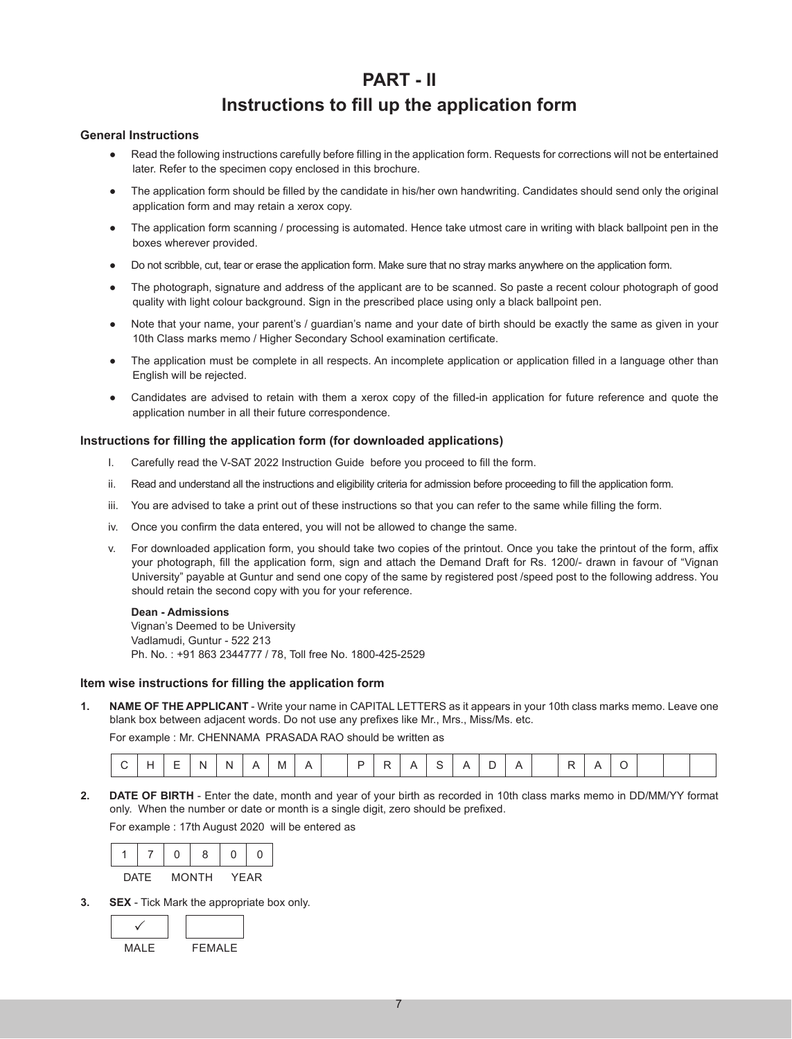# **PART - II**

# **Instructions to fill up the application form**

#### **General Instructions**

- Read the following instructions carefully before filling in the application form. Requests for corrections will not be entertained later. Refer to the specimen copy enclosed in this brochure.
- The application form should be filled by the candidate in his/her own handwriting. Candidates should send only the original application form and may retain a xerox copy.
- The application form scanning / processing is automated. Hence take utmost care in writing with black ballpoint pen in the boxes wherever provided.
- Do not scribble, cut, tear or erase the application form. Make sure that no stray marks anywhere on the application form.
- The photograph, signature and address of the applicant are to be scanned. So paste a recent colour photograph of good quality with light colour background. Sign in the prescribed place using only a black ballpoint pen.
- Note that your name, your parent's / guardian's name and your date of birth should be exactly the same as given in your 10th Class marks memo / Higher Secondary School examination certificate.
- The application must be complete in all respects. An incomplete application or application filled in a language other than English will be rejected.
- Candidates are advised to retain with them a xerox copy of the filled-in application for future reference and quote the application number in all their future correspondence.

#### **Instructions for filling the application form (for downloaded applications)**

- I. Carefully read the V-SAT 2022 Instruction Guide before you proceed to fill the form.
- ii. Read and understand all the instructions and eligibility criteria for admission before proceeding to fill the application form.
- iii. You are advised to take a print out of these instructions so that you can refer to the same while filling the form.
- iv. Once you confirm the data entered, you will not be allowed to change the same.
- v. For downloaded application form, you should take two copies of the printout. Once you take the printout of the form, affix your photograph, fill the application form, sign and attach the Demand Draft for Rs. 1200/- drawn in favour of "Vignan University" payable at Guntur and send one copy of the same by registered post /speed post to the following address. You should retain the second copy with you for your reference.

#### **Dean - Admissions**

Vignan's Deemed to be University Vadlamudi, Guntur - 522 213 Ph. No. : +91 863 2344777 / 78, Toll free No. 1800-425-2529

#### **Item wise instructions for filling the application form**

**1. NAME OF THE APPLICANT** - Write your name in CAPITAL LETTERS as it appears in your 10th class marks memo. Leave one blank box between adjacent words. Do not use any prefixes like Mr., Mrs., Miss/Ms. etc.

 For example : Mr. CHENNAMA PRASADA RAO should be written as

|  |  |  |  | N |  | M |  |  |  |  |  |  |  |  |  |  |  |  |  |  |  |  |
|--|--|--|--|---|--|---|--|--|--|--|--|--|--|--|--|--|--|--|--|--|--|--|
|--|--|--|--|---|--|---|--|--|--|--|--|--|--|--|--|--|--|--|--|--|--|--|

**2. DATE OF BIRTH** - Enter the date, month and year of your birth as recorded in 10th class marks memo in DD/MM/YY format only. When the number or date or month is a single digit, zero should be prefixed.

 For example : 17th August 2020 will be entered as

| <b>DATF</b> | <b>MONTH</b> | <b>YEAR</b> |
|-------------|--------------|-------------|

**3. SEX** - Tick Mark the appropriate box only.

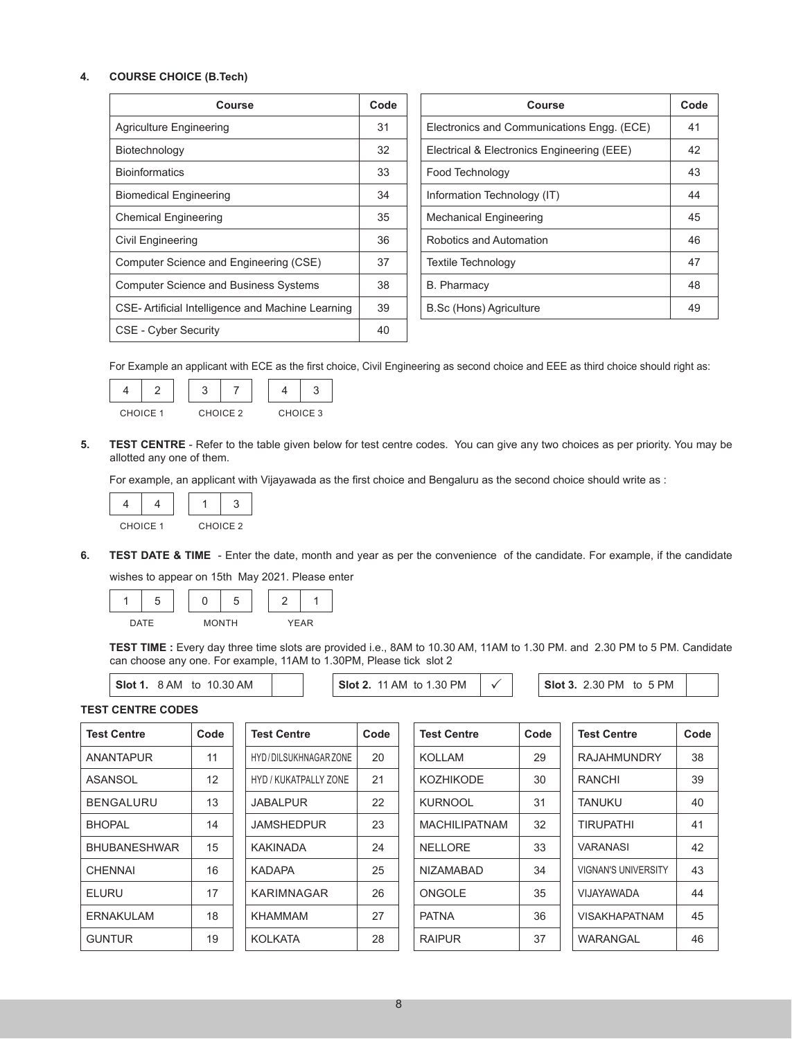#### **4. COURSE CHOICE (B.Tech)**

| Course                                            | Code | Course                                     | Coo |
|---------------------------------------------------|------|--------------------------------------------|-----|
| <b>Agriculture Engineering</b>                    | 31   | Electronics and Communications Engg. (ECE) | 41  |
| Biotechnology                                     | 32   | Electrical & Electronics Engineering (EEE) | 42  |
| <b>Bioinformatics</b>                             | 33   | Food Technology                            | 43  |
| <b>Biomedical Engineering</b>                     | 34   | Information Technology (IT)                | 44  |
| <b>Chemical Engineering</b>                       | 35   | <b>Mechanical Engineering</b>              | 45  |
| Civil Engineering                                 | 36   | Robotics and Automation                    | 46  |
| Computer Science and Engineering (CSE)            | 37   | Textile Technology                         | 47  |
| <b>Computer Science and Business Systems</b>      | 38   | <b>B.</b> Pharmacy                         | 48  |
| CSE- Artificial Intelligence and Machine Learning | 39   | <b>B.Sc (Hons) Agriculture</b>             | 49  |
| CSE - Cyber Security                              | 40   |                                            |     |

| Course                    | Code | Course                                     | Code |
|---------------------------|------|--------------------------------------------|------|
| ing                       | 31   | Electronics and Communications Engg. (ECE) | 41   |
|                           | 32   | Electrical & Electronics Engineering (EEE) | 42   |
|                           | 33   | Food Technology                            | 43   |
| ing                       | 34   | Information Technology (IT)                | 44   |
| g                         | 35   | <b>Mechanical Engineering</b>              | 45   |
|                           | 36   | Robotics and Automation                    | 46   |
| nd Engineering (CSE)      | 37   | <b>Textile Technology</b>                  | 47   |
| nd Business Systems       | 38   | <b>B.</b> Pharmacy                         | 48   |
| ence and Machine Learning | 39   | <b>B.Sc (Hons) Agriculture</b>             | 49   |
|                           |      |                                            |      |

 For Example an applicant with ECE as the first choice, Civil Engineering as second choice and EEE as third choice should right as:



| CHOICE 1 | CHOICE 2 | CHOICE 3 |
|----------|----------|----------|

**5. TEST CENTRE** - Refer to the table given below for test centre codes. You can give any two choices as per priority. You may be allotted any one of them.

 For example, an applicant with Vijayawada as the first choice and Bengaluru as the second choice should write as :



**6. TEST DATE & TIME** - Enter the date, month and year as per the convenience of the candidate. For example, if the candidate wishes to appear on 15th May 2021. Please enter



TEST TIME : Every day three time slots are provided i.e., 8AM to 10.30 AM, 11AM to 1.30 PM. and 2.30 PM to 5 PM. Candidate can choose any one. For example, 11AM to 1.30PM, Please tick slot 2

**Slot 1.** 8 AM to 10.30 AM  $\vert$  **Slot 2.** 11 AM to 1.30 PM  $\vert \checkmark \vert$  **Slot 3.** 2.30 PM to 5 PM

```
TEST CENTRE CODES
```

| Test Centre         | Code | Test Centre           | Code | <b>Test Centre</b>   | Code | Test Centre                | Code |
|---------------------|------|-----------------------|------|----------------------|------|----------------------------|------|
| <b>ANANTAPUR</b>    | 11   | HYD/DILSUKHNAGAR ZONE | 20   | <b>KOLLAM</b>        | 29   | <b>RAJAHMUNDRY</b>         | 38   |
| ASANSOL             | 12   | HYD / KUKATPALLY ZONE | 21   | <b>KOZHIKODE</b>     | 30   | <b>RANCHI</b>              | 39   |
| <b>BENGALURU</b>    | 13   | <b>JABALPUR</b>       | 22   | <b>KURNOOL</b>       | 31   | <b>TANUKU</b>              | 40   |
| <b>BHOPAL</b>       | 14   | <b>JAMSHEDPUR</b>     | 23   | <b>MACHILIPATNAM</b> | 32   | <b>TIRUPATHI</b>           | 41   |
| <b>BHUBANESHWAR</b> | 15   | KAKINADA              | 24   | <b>NELLORE</b>       | 33   | <b>VARANASI</b>            | 42   |
| <b>CHENNAI</b>      | 16   | <b>KADAPA</b>         | 25   | <b>NIZAMABAD</b>     | 34   | <b>VIGNAN'S UNIVERSITY</b> | 43   |
| <b>ELURU</b>        | 17   | KARIMNAGAR            | 26   | ONGOLE               | 35   | VIJAYAWADA                 | 44   |
| ERNAKULAM           | 18   | <b>KHAMMAM</b>        | 27   | <b>PATNA</b>         | 36   | <b>VISAKHAPATNAM</b>       | 45   |
| <b>GUNTUR</b>       | 19   | <b>KOLKATA</b>        | 28   | <b>RAIPUR</b>        | 37   | WARANGAL                   | 46   |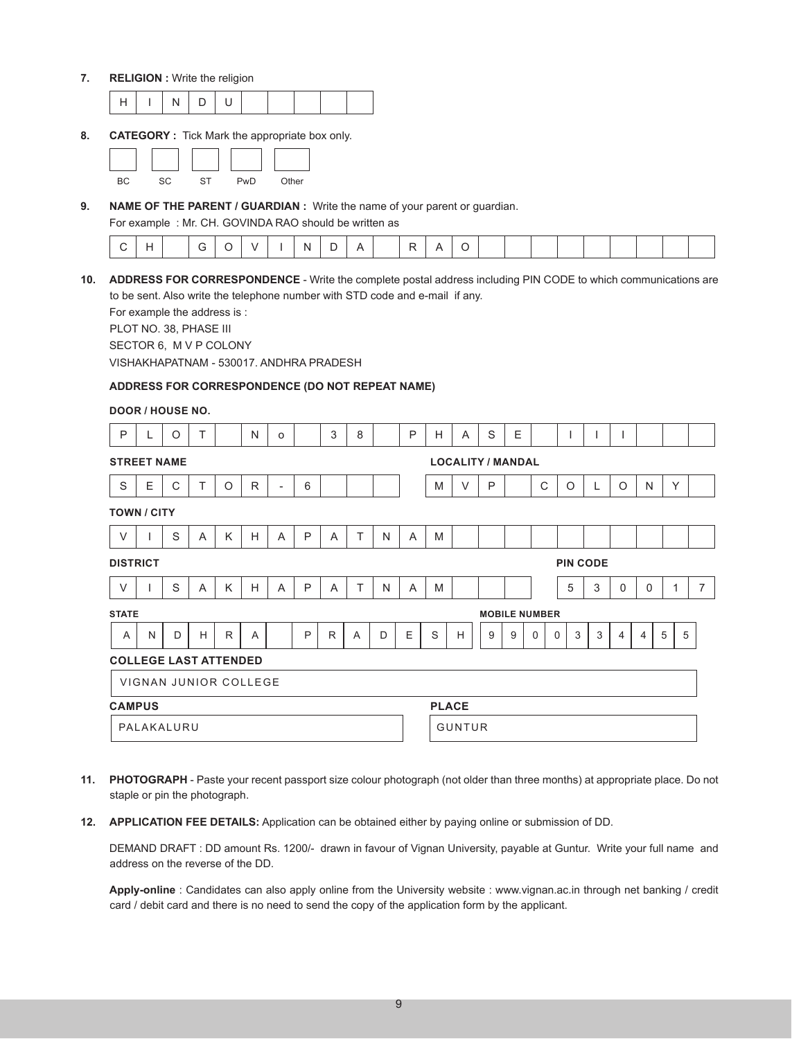**7. RELIGION :** Write the religion

**8. CATEGORY :** Tick Mark the appropriate box only.



**9. NAME OF THE PARENT / GUARDIAN :** Write the name of your parent or guardian.

 For example : Mr. CH. GOVINDA RAO should be written as

|  |  |  |  | ___ |  |  |  |  |  |  |  |  |  |  |  |  |  |  |  |  |  |  |  |
|--|--|--|--|-----|--|--|--|--|--|--|--|--|--|--|--|--|--|--|--|--|--|--|--|
|--|--|--|--|-----|--|--|--|--|--|--|--|--|--|--|--|--|--|--|--|--|--|--|--|

**10. ADDRESS FOR CORRESPONDENCE** - Write the complete postal address including PIN CODE to which communications are to be sent. Also write the telephone number with STD code and e-mail if any.

 For example the address is :

 PLOT NO. 38, PHASE III

 SECTOR 6, M V P COLONY

 VISHAKHAPATNAM - 530017. ANDHRA PRADESH

## **ADDRESS FOR CORRESPONDENCE (DO NOT REPEAT NAME)**

#### **DOOR / HOUSE NO.**

| P                            |   | $\circ$                      | т              |              | N            | $\circ$        |              | 3            | 8 |   | P | H             | A                        | S | E                    |             |                  |            |             |             |                     |                |
|------------------------------|---|------------------------------|----------------|--------------|--------------|----------------|--------------|--------------|---|---|---|---------------|--------------------------|---|----------------------|-------------|------------------|------------|-------------|-------------|---------------------|----------------|
| <b>STREET NAME</b>           |   |                              |                |              |              |                |              |              |   |   |   |               | <b>LOCALITY / MANDAL</b> |   |                      |             |                  |            |             |             |                     |                |
| S                            | Ε | C                            | т              | O            | $\mathsf{R}$ | $\blacksquare$ | 6            |              |   |   |   | M             | $\vee$                   | P |                      | C           | O                | L          | $\circ$     | N           | Y                   |                |
| <b>TOWN / CITY</b>           |   |                              |                |              |              |                |              |              |   |   |   |               |                          |   |                      |             |                  |            |             |             |                     |                |
| $\vee$                       |   | S                            | A              | Κ            | H            | A              | P            | A            | T | N | A | M             |                          |   |                      |             |                  |            |             |             |                     |                |
| <b>DISTRICT</b>              |   |                              |                |              |              |                |              |              |   |   |   |               |                          |   |                      |             | <b>PIN CODE</b>  |            |             |             |                     |                |
| $\vee$                       |   | S                            | $\overline{A}$ | K            | H            | $\overline{A}$ | P            | A            | T | N | A | M             |                          |   |                      |             | 5                | 3          | $\mathbf 0$ | $\mathbf 0$ | 1                   | $\overline{7}$ |
| <b>STATE</b>                 |   |                              |                |              |              |                |              |              |   |   |   |               |                          |   | <b>MOBILE NUMBER</b> |             |                  |            |             |             |                     |                |
| A                            | N | D                            | H              | $\mathsf{R}$ | A            |                | $\mathsf{P}$ | $\mathsf{R}$ | A | D | E | $\mathbb S$   | Н                        | 9 | 9                    | $\mathbf 0$ | $\mathbf 0$<br>3 | $\sqrt{3}$ | 4           | 4           | $\overline{5}$<br>5 |                |
| <b>COLLEGE LAST ATTENDED</b> |   |                              |                |              |              |                |              |              |   |   |   |               |                          |   |                      |             |                  |            |             |             |                     |                |
|                              |   | <b>VIGNAN JUNIOR COLLEGE</b> |                |              |              |                |              |              |   |   |   |               |                          |   |                      |             |                  |            |             |             |                     |                |
| <b>CAMPUS</b>                |   |                              |                |              |              |                |              |              |   |   |   | <b>PLACE</b>  |                          |   |                      |             |                  |            |             |             |                     |                |
| PALAKALURU                   |   |                              |                |              |              |                |              |              |   |   |   | <b>GUNTUR</b> |                          |   |                      |             |                  |            |             |             |                     |                |

- **11. PHOTOGRAPH** Paste your recent passport size colour photograph (not older than three months) at appropriate place. Do not staple or pin the photograph.
- **12. APPLICATION FEE DETAILS:** Application can be obtained either by paying online or submission of DD.

 DEMAND DRAFT : DD amount Rs. 1200/- drawn in favour of Vignan University, payable at Guntur. Write your full name and address on the reverse of the DD.

**Apply-online** : Candidates can also apply online from the University website : www.vignan.ac.in through net banking / credit card / debit card and there is no need to send the copy of the application form by the applicant.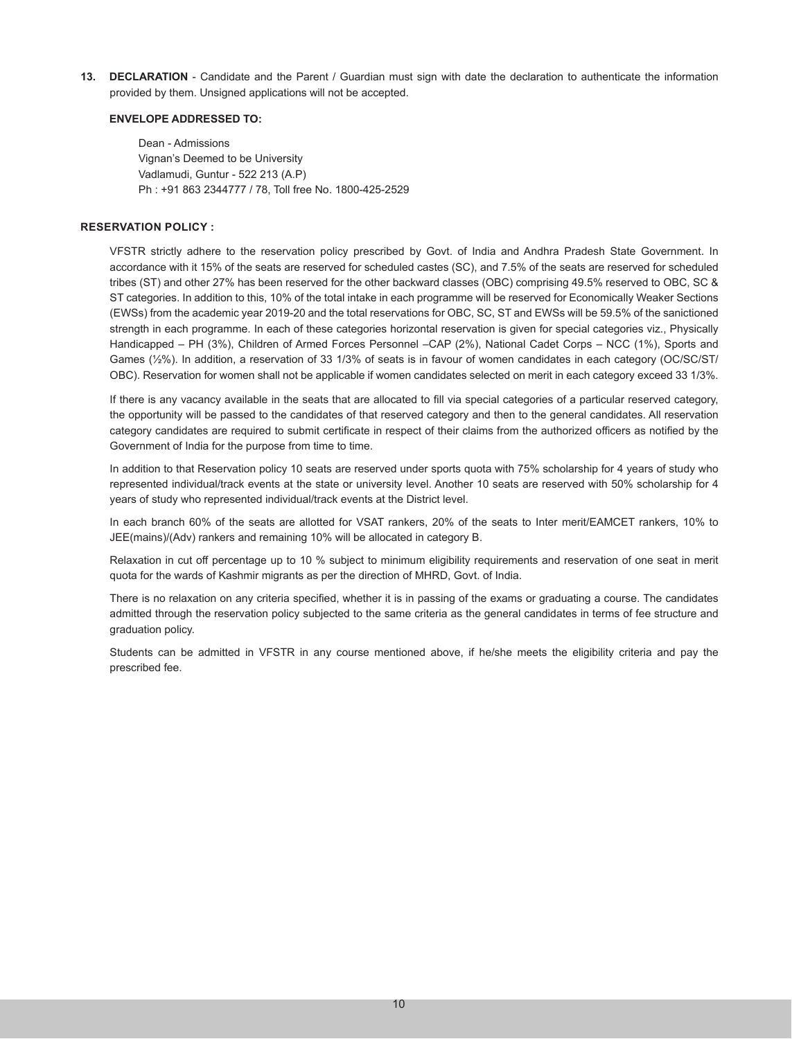**13. DECLARATION** - Candidate and the Parent / Guardian must sign with date the declaration to authenticate the information provided by them. Unsigned applications will not be accepted.

#### **ENVELOPE ADDRESSED TO:**

 Dean - Admissions Vignan's Deemed to be University Vadlamudi, Guntur - 522 213 (A.P) Ph : +91 863 2344777 / 78, Toll free No. 1800-425-2529

#### **RESERVATION POLICY :**

VFSTR strictly adhere to the reservation policy prescribed by Govt. of India and Andhra Pradesh State Government. In accordance with it 15% of the seats are reserved for scheduled castes (SC), and 7.5% of the seats are reserved for scheduled tribes (ST) and other 27% has been reserved for the other backward classes (OBC) comprising 49.5% reserved to OBC, SC & ST categories. In addition to this, 10% of the total intake in each programme will be reserved for Economically Weaker Sections (EWSs) from the academic year 2019-20 and the total reservations for OBC, SC, ST and EWSs will be 59.5% of the sanictioned strength in each programme. In each of these categories horizontal reservation is given for special categories viz., Physically Handicapped – PH (3%), Children of Armed Forces Personnel –CAP (2%), National Cadet Corps – NCC (1%), Sports and Games (½%). In addition, a reservation of 33 1/3% of seats is in favour of women candidates in each category (OC/SC/ST/ OBC). Reservation for women shall not be applicable if women candidates selected on merit in each category exceed 33 1/3%.

If there is any vacancy available in the seats that are allocated to fill via special categories of a particular reserved category, the opportunity will be passed to the candidates of that reserved category and then to the general candidates. All reservation category candidates are required to submit certificate in respect of their claims from the authorized officers as notified by the Government of India for the purpose from time to time.

In addition to that Reservation policy 10 seats are reserved under sports quota with 75% scholarship for 4 years of study who represented individual/track events at the state or university level. Another 10 seats are reserved with 50% scholarship for 4 years of study who represented individual/track events at the District level.

In each branch 60% of the seats are allotted for VSAT rankers, 20% of the seats to Inter merit/EAMCET rankers, 10% to JEE(mains)/(Adv) rankers and remaining 10% will be allocated in category B.

Relaxation in cut off percentage up to 10 % subject to minimum eligibility requirements and reservation of one seat in merit quota for the wards of Kashmir migrants as per the direction of MHRD, Govt. of India.

There is no relaxation on any criteria specified, whether it is in passing of the exams or graduating a course. The candidates admitted through the reservation policy subjected to the same criteria as the general candidates in terms of fee structure and graduation policy.

Students can be admitted in VFSTR in any course mentioned above, if he/she meets the eligibility criteria and pay the prescribed fee.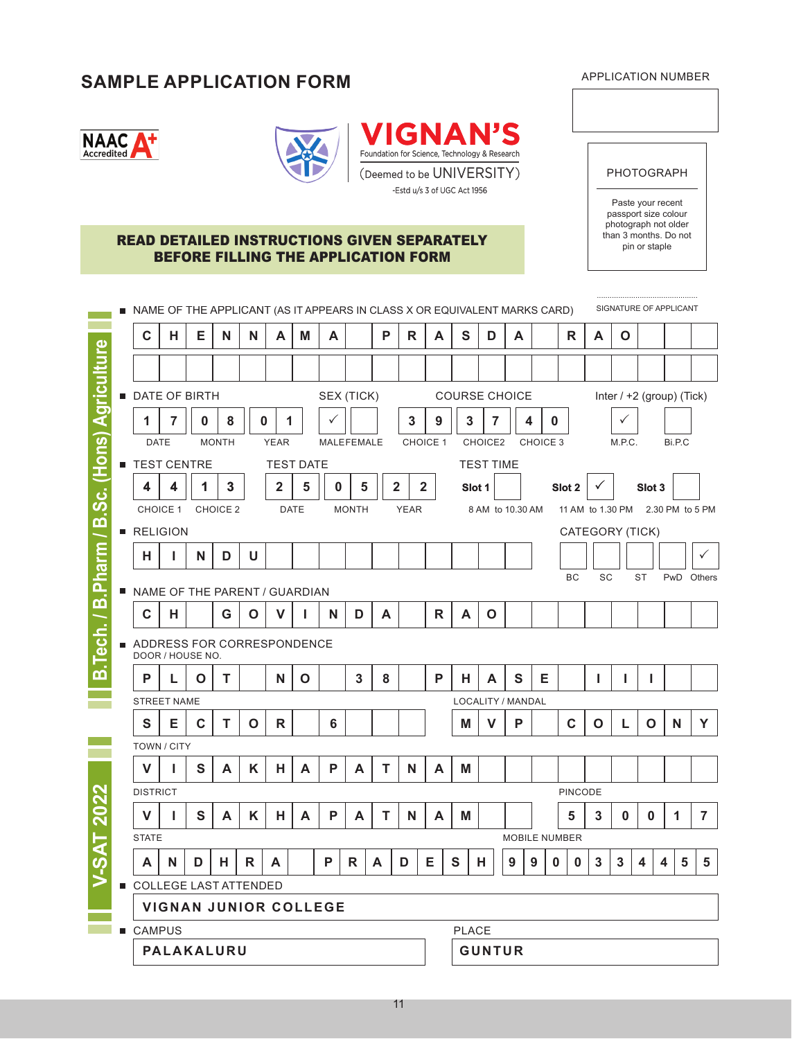# **SAMPLE APPLICATION FORM** APPLICATION NUMBER

PHOTOGRAPH

Paste your recent passport size colour photograph not older<br>than 3 months. Do not

| u<br>. .<br>ted<br>cred. |  |
|--------------------------|--|
|--------------------------|--|





## **READ DETAILED INSTRUCTIONS GIVEN SEPARATELY** than 3 months. Do not apple BEFORE FILLING THE APPLICATION FORM

| $\mathbf c$                   | н | Е | N            | N | А                            | M                | A               |              | P            | $\mathsf{R}$ | A               |   | S            | D                    | A  |          |          | R                    | A  | O      |                   |                           |                |
|-------------------------------|---|---|--------------|---|------------------------------|------------------|-----------------|--------------|--------------|--------------|-----------------|---|--------------|----------------------|----|----------|----------|----------------------|----|--------|-------------------|---------------------------|----------------|
|                               |   |   |              |   |                              |                  |                 |              |              |              |                 |   |              |                      |    |          |          |                      |    |        |                   |                           |                |
| <b>DATE OF BIRTH</b>          |   |   |              |   |                              |                  |                 | SEX (TICK)   |              |              |                 |   |              | <b>COURSE CHOICE</b> |    |          |          |                      |    |        |                   | Inter / +2 (group) (Tick) |                |
| 1                             | 7 | 0 | 8            |   | $\bf{0}$                     | 1                |                 |              |              | 3            | 9               |   | $\mathbf{3}$ | 7                    |    | 4        | $\bf{0}$ |                      |    | ✓      |                   |                           |                |
| <b>DATE</b>                   |   |   | <b>MONTH</b> |   | <b>YEAR</b>                  |                  |                 | MALEFEMALE   |              |              | <b>CHOICE 1</b> |   |              | CHOICE2              |    | CHOICE 3 |          |                      |    | M.P.C. |                   | Bi.P.C                    |                |
| <b>TEST CENTRE</b>            |   |   |              |   |                              | <b>TEST DATE</b> |                 |              |              |              |                 |   |              | <b>TEST TIME</b>     |    |          |          |                      |    |        |                   |                           |                |
| 4                             | 4 | 1 | 3            |   | $\mathbf{2}$                 | 5                | 0               | 5            |              | $\mathbf{2}$ | $\mathbf{2}$    |   | Slot 1       |                      |    |          |          | Slot <sub>2</sub>    |    |        | Slot <sub>3</sub> |                           |                |
| CHOICE 1                      |   |   | CHOICE 2     |   |                              | <b>DATE</b>      |                 | <b>MONTH</b> |              | <b>YEAR</b>  |                 |   |              | 8 AM to 10.30 AM     |    |          |          | 11 AM to 1.30 PM     |    |        |                   | 2.30 PM to 5 PM           |                |
| RELIGION                      |   |   |              |   |                              |                  |                 |              |              |              |                 |   |              |                      |    |          |          | CATEGORY (TICK)      |    |        |                   |                           |                |
| н                             | L | N | D            | U |                              |                  |                 |              |              |              |                 |   |              |                      |    |          |          |                      |    |        |                   |                           |                |
|                               |   |   |              |   |                              |                  |                 |              |              |              |                 |   |              |                      |    |          |          | BC                   | SC |        | <b>ST</b>         | PwD                       | Others         |
| NAME OF THE PARENT / GUARDIAN |   |   |              |   |                              |                  |                 |              |              |              |                 |   |              |                      |    |          |          |                      |    |        |                   |                           |                |
| C                             | н |   | G            | O | v                            |                  | N               | D            | A            |              | $\mathsf{R}$    |   | A            | $\mathbf 0$          |    |          |          |                      |    |        |                   |                           |                |
| ADDRESS FOR CORRESPONDENCE    |   |   |              |   |                              |                  |                 |              |              |              |                 |   |              |                      |    |          |          |                      |    |        |                   |                           |                |
| DOOR / HOUSE NO.              |   |   |              |   |                              |                  |                 |              |              |              |                 |   |              |                      |    |          |          |                      |    |        |                   |                           |                |
| P                             | L | O | Т            |   | N                            | O                |                 | 3            | 8            |              | P               |   | н            | A                    | S  | Е        |          |                      | J. |        |                   |                           |                |
| <b>STREET NAME</b>            |   |   |              |   |                              |                  |                 |              |              |              |                 |   |              | LOCALITY / MANDAL    |    |          |          |                      |    |        |                   |                           |                |
| S                             | Е | C | т            | O | $\mathsf{R}$                 |                  | $6\phantom{1}6$ |              |              |              |                 |   | M            | v                    | P  |          |          | C                    | O  | L      | O                 | N                         | Y              |
| TOWN / CITY                   |   |   |              |   |                              |                  |                 |              |              |              |                 |   |              |                      |    |          |          |                      |    |        |                   |                           |                |
| V                             | L | S | A            | K | н                            | A                | P               | A            | т            | N            | A               |   | M            |                      |    |          |          |                      |    |        |                   |                           |                |
| <b>DISTRICT</b>               |   |   |              |   |                              |                  |                 |              |              |              |                 |   |              |                      |    |          |          | PINCODE              |    |        |                   |                           |                |
| $\mathsf{V}$                  | L | S | A            | K | н                            | A                | P               | A            | т            | N            | A               |   | Μ            |                      |    |          |          | 5                    | 3  | 0      | 0                 | 1                         | $\overline{7}$ |
| <b>STATE</b>                  |   |   |              |   |                              |                  |                 |              |              |              |                 |   |              |                      |    |          |          | <b>MOBILE NUMBER</b> |    |        |                   |                           |                |
| A                             | N | υ | п,           | ĸ | A                            |                  | ۲               | ĸ            | $\mathbf{A}$ | υ            | ᄇ               | S |              | H,                   | A. | ¥.       | U.       | U                    | 3  | J.     | 4                 | 4                         | Ð<br>Ð         |
| COLLEGE LAST ATTENDED         |   |   |              |   |                              |                  |                 |              |              |              |                 |   |              |                      |    |          |          |                      |    |        |                   |                           |                |
|                               |   |   |              |   | <b>VIGNAN JUNIOR COLLEGE</b> |                  |                 |              |              |              |                 |   |              |                      |    |          |          |                      |    |        |                   |                           |                |
|                               |   |   |              |   |                              |                  |                 |              |              |              |                 |   |              |                      |    |          |          |                      |    |        |                   |                           |                |
| <b>■ CAMPUS</b>               |   |   |              |   |                              |                  |                 |              |              |              |                 |   | <b>PLACE</b> |                      |    |          |          |                      |    |        |                   |                           |                |

11